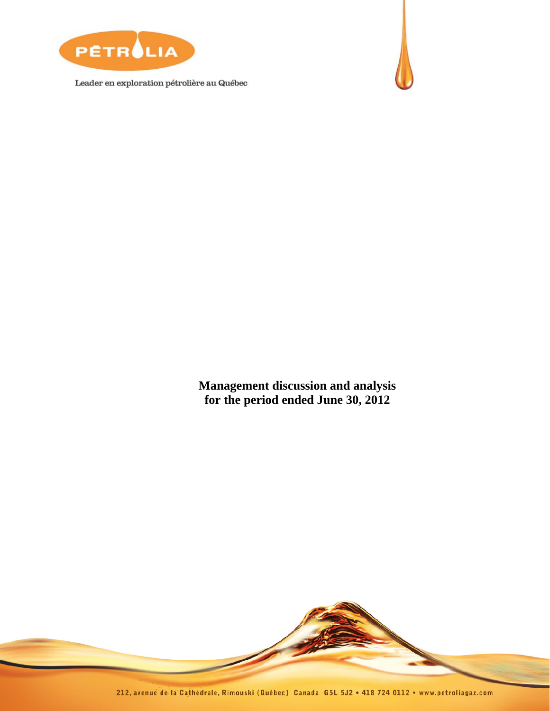

Leader en exploration pétrolière au Québec



**Management discussion and analysis for the period ended June 30, 2012** 

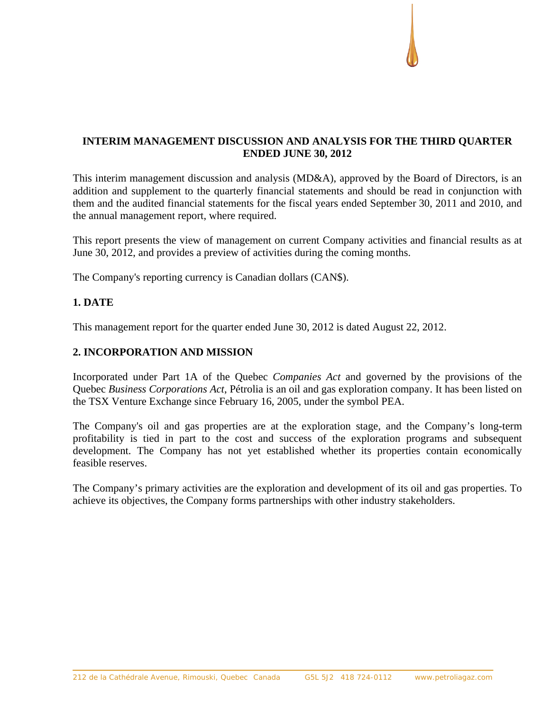# **INTERIM MANAGEMENT DISCUSSION AND ANALYSIS FOR THE THIRD QUARTER ENDED JUNE 30, 2012**

This interim management discussion and analysis (MD&A), approved by the Board of Directors, is an addition and supplement to the quarterly financial statements and should be read in conjunction with them and the audited financial statements for the fiscal years ended September 30, 2011 and 2010, and the annual management report, where required.

This report presents the view of management on current Company activities and financial results as at June 30, 2012, and provides a preview of activities during the coming months.

The Company's reporting currency is Canadian dollars (CAN\$).

## **1. DATE**

This management report for the quarter ended June 30, 2012 is dated August 22, 2012.

## **2. INCORPORATION AND MISSION**

Incorporated under Part 1A of the Quebec *Companies Act* and governed by the provisions of the Quebec *Business Corporations Act*, Pétrolia is an oil and gas exploration company. It has been listed on the TSX Venture Exchange since February 16, 2005, under the symbol PEA.

The Company's oil and gas properties are at the exploration stage, and the Company's long-term profitability is tied in part to the cost and success of the exploration programs and subsequent development. The Company has not yet established whether its properties contain economically feasible reserves.

The Company's primary activities are the exploration and development of its oil and gas properties. To achieve its objectives, the Company forms partnerships with other industry stakeholders.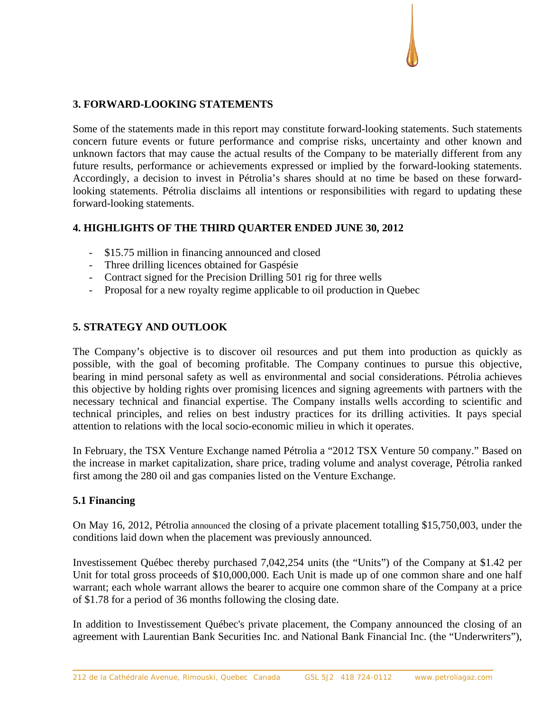## **3. FORWARD-LOOKING STATEMENTS**

Some of the statements made in this report may constitute forward-looking statements. Such statements concern future events or future performance and comprise risks, uncertainty and other known and unknown factors that may cause the actual results of the Company to be materially different from any future results, performance or achievements expressed or implied by the forward-looking statements. Accordingly, a decision to invest in Pétrolia's shares should at no time be based on these forwardlooking statements. Pétrolia disclaims all intentions or responsibilities with regard to updating these forward-looking statements.

## **4. HIGHLIGHTS OF THE THIRD QUARTER ENDED JUNE 30, 2012**

- \$15.75 million in financing announced and closed
- Three drilling licences obtained for Gaspésie
- Contract signed for the Precision Drilling 501 rig for three wells
- Proposal for a new royalty regime applicable to oil production in Quebec

## **5. STRATEGY AND OUTLOOK**

The Company's objective is to discover oil resources and put them into production as quickly as possible, with the goal of becoming profitable. The Company continues to pursue this objective, bearing in mind personal safety as well as environmental and social considerations. Pétrolia achieves this objective by holding rights over promising licences and signing agreements with partners with the necessary technical and financial expertise. The Company installs wells according to scientific and technical principles, and relies on best industry practices for its drilling activities. It pays special attention to relations with the local socio-economic milieu in which it operates.

In February, the TSX Venture Exchange named Pétrolia a "2012 TSX Venture 50 company." Based on the increase in market capitalization, share price, trading volume and analyst coverage, Pétrolia ranked first among the 280 oil and gas companies listed on the Venture Exchange.

## **5.1 Financing**

On May 16, 2012, Pétrolia announced the closing of a private placement totalling \$15,750,003, under the conditions laid down when the placement was previously announced.

Investissement Québec thereby purchased 7,042,254 units (the "Units") of the Company at \$1.42 per Unit for total gross proceeds of \$10,000,000. Each Unit is made up of one common share and one half warrant; each whole warrant allows the bearer to acquire one common share of the Company at a price of \$1.78 for a period of 36 months following the closing date.

In addition to Investissement Québec's private placement, the Company announced the closing of an agreement with Laurentian Bank Securities Inc. and National Bank Financial Inc. (the "Underwriters"),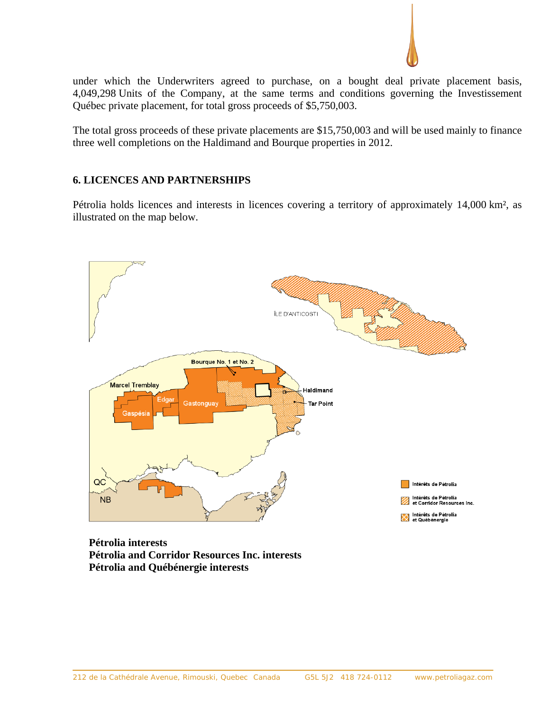

under which the Underwriters agreed to purchase, on a bought deal private placement basis, 4,049,298 Units of the Company, at the same terms and conditions governing the Investissement Québec private placement, for total gross proceeds of \$5,750,003.

The total gross proceeds of these private placements are \$15,750,003 and will be used mainly to finance three well completions on the Haldimand and Bourque properties in 2012.

## **6. LICENCES AND PARTNERSHIPS**

Pétrolia holds licences and interests in licences covering a territory of approximately 14,000 km², as illustrated on the map below.



**Pétrolia interests Pétrolia and Corridor Resources Inc. interests Pétrolia and Québénergie interests**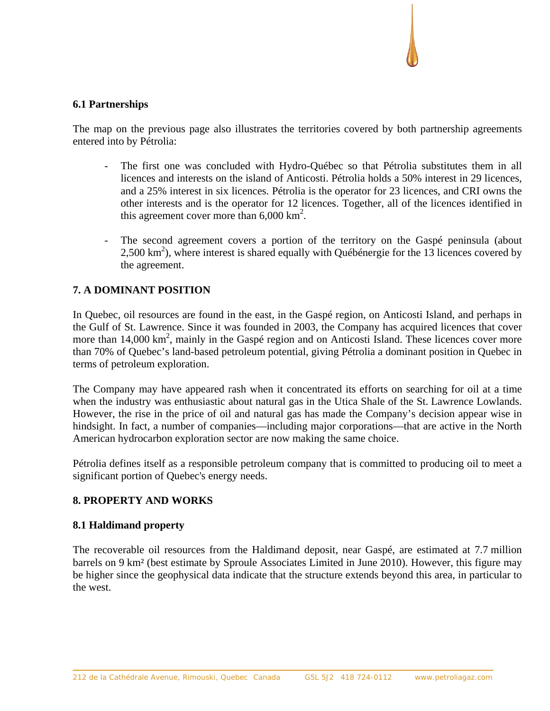## **6.1 Partnerships**

The map on the previous page also illustrates the territories covered by both partnership agreements entered into by Pétrolia:

- The first one was concluded with Hydro-Québec so that Pétrolia substitutes them in all licences and interests on the island of Anticosti. Pétrolia holds a 50% interest in 29 licences, and a 25% interest in six licences. Pétrolia is the operator for 23 licences, and CRI owns the other interests and is the operator for 12 licences. Together, all of the licences identified in this agreement cover more than  $6,000 \text{ km}^2$ .
- The second agreement covers a portion of the territory on the Gaspé peninsula (about 2,500 km<sup>2</sup>), where interest is shared equally with Québénergie for the 13 licences covered by the agreement.

## **7. A DOMINANT POSITION**

In Quebec, oil resources are found in the east, in the Gaspé region, on Anticosti Island, and perhaps in the Gulf of St. Lawrence. Since it was founded in 2003, the Company has acquired licences that cover more than 14,000 km<sup>2</sup>, mainly in the Gaspé region and on Anticosti Island. These licences cover more than 70% of Quebec's land-based petroleum potential, giving Pétrolia a dominant position in Quebec in terms of petroleum exploration.

The Company may have appeared rash when it concentrated its efforts on searching for oil at a time when the industry was enthusiastic about natural gas in the Utica Shale of the St. Lawrence Lowlands. However, the rise in the price of oil and natural gas has made the Company's decision appear wise in hindsight. In fact, a number of companies—including major corporations—that are active in the North American hydrocarbon exploration sector are now making the same choice.

Pétrolia defines itself as a responsible petroleum company that is committed to producing oil to meet a significant portion of Quebec's energy needs.

## **8. PROPERTY AND WORKS**

### **8.1 Haldimand property**

The recoverable oil resources from the Haldimand deposit, near Gaspé, are estimated at 7.7 million barrels on 9 km² (best estimate by Sproule Associates Limited in June 2010). However, this figure may be higher since the geophysical data indicate that the structure extends beyond this area, in particular to the west.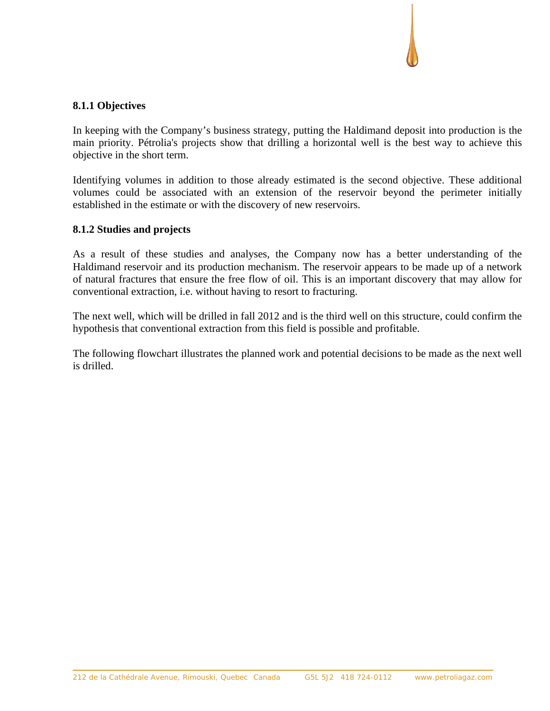## **8.1.1 Objectives**

In keeping with the Company's business strategy, putting the Haldimand deposit into production is the main priority. Pétrolia's projects show that drilling a horizontal well is the best way to achieve this objective in the short term.

Identifying volumes in addition to those already estimated is the second objective. These additional volumes could be associated with an extension of the reservoir beyond the perimeter initially established in the estimate or with the discovery of new reservoirs.

## **8.1.2 Studies and projects**

As a result of these studies and analyses, the Company now has a better understanding of the Haldimand reservoir and its production mechanism. The reservoir appears to be made up of a network of natural fractures that ensure the free flow of oil. This is an important discovery that may allow for conventional extraction, i.e. without having to resort to fracturing.

The next well, which will be drilled in fall 2012 and is the third well on this structure, could confirm the hypothesis that conventional extraction from this field is possible and profitable.

The following flowchart illustrates the planned work and potential decisions to be made as the next well is drilled.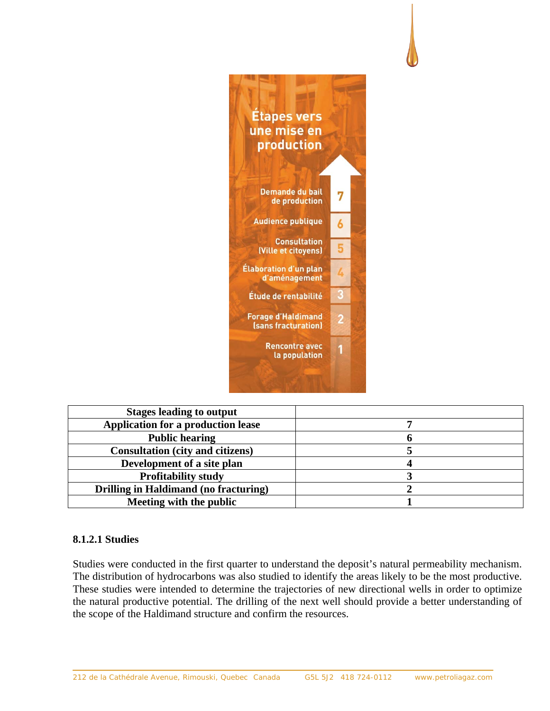

| <b>Stages leading to output</b>              |  |
|----------------------------------------------|--|
| Application for a production lease           |  |
| <b>Public hearing</b>                        |  |
| <b>Consultation (city and citizens)</b>      |  |
| Development of a site plan                   |  |
| <b>Profitability study</b>                   |  |
| <b>Drilling in Haldimand (no fracturing)</b> |  |
| Meeting with the public                      |  |

## **8.1.2.1 Studies**

Studies were conducted in the first quarter to understand the deposit's natural permeability mechanism. The distribution of hydrocarbons was also studied to identify the areas likely to be the most productive. These studies were intended to determine the trajectories of new directional wells in order to optimize the natural productive potential. The drilling of the next well should provide a better understanding of the scope of the Haldimand structure and confirm the resources.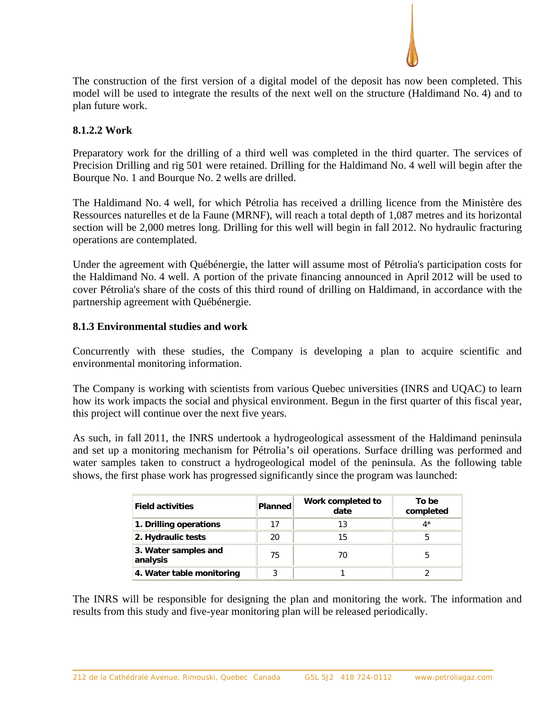

The construction of the first version of a digital model of the deposit has now been completed. This model will be used to integrate the results of the next well on the structure (Haldimand No. 4) and to plan future work.

## **8.1.2.2 Work**

Preparatory work for the drilling of a third well was completed in the third quarter. The services of Precision Drilling and rig 501 were retained. Drilling for the Haldimand No. 4 well will begin after the Bourque No. 1 and Bourque No. 2 wells are drilled.

The Haldimand No. 4 well, for which Pétrolia has received a drilling licence from the Ministère des Ressources naturelles et de la Faune (MRNF), will reach a total depth of 1,087 metres and its horizontal section will be 2,000 metres long. Drilling for this well will begin in fall 2012. No hydraulic fracturing operations are contemplated.

Under the agreement with Québénergie, the latter will assume most of Pétrolia's participation costs for the Haldimand No. 4 well. A portion of the private financing announced in April 2012 will be used to cover Pétrolia's share of the costs of this third round of drilling on Haldimand, in accordance with the partnership agreement with Québénergie.

## **8.1.3 Environmental studies and work**

Concurrently with these studies, the Company is developing a plan to acquire scientific and environmental monitoring information.

The Company is working with scientists from various Quebec universities (INRS and UQAC) to learn how its work impacts the social and physical environment. Begun in the first quarter of this fiscal year, this project will continue over the next five years.

As such, in fall 2011, the INRS undertook a hydrogeological assessment of the Haldimand peninsula and set up a monitoring mechanism for Pétrolia's oil operations. Surface drilling was performed and water samples taken to construct a hydrogeological model of the peninsula. As the following table shows, the first phase work has progressed significantly since the program was launched:

| <b>Field activities</b>          | <b>Planned</b> | Work completed to<br>date | To be<br>completed |
|----------------------------------|----------------|---------------------------|--------------------|
| 1. Drilling operations           | 17             | 13                        | 4*                 |
| 2. Hydraulic tests               | 20             | 15                        | h                  |
| 3. Water samples and<br>analysis | 75             | 70                        |                    |
| 4. Water table monitoring        | 3              |                           |                    |

The INRS will be responsible for designing the plan and monitoring the work. The information and results from this study and five-year monitoring plan will be released periodically.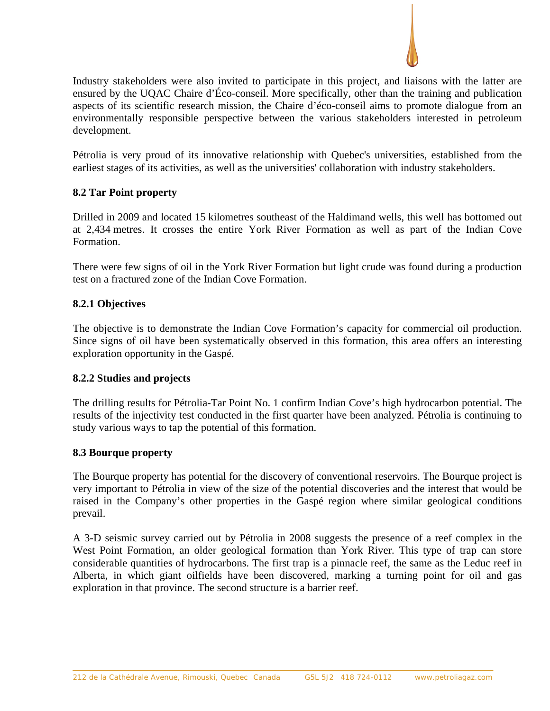

Industry stakeholders were also invited to participate in this project, and liaisons with the latter are ensured by the UQAC Chaire d'Éco-conseil. More specifically, other than the training and publication aspects of its scientific research mission, the Chaire d'éco-conseil aims to promote dialogue from an environmentally responsible perspective between the various stakeholders interested in petroleum development.

Pétrolia is very proud of its innovative relationship with Quebec's universities, established from the earliest stages of its activities, as well as the universities' collaboration with industry stakeholders.

## **8.2 Tar Point property**

Drilled in 2009 and located 15 kilometres southeast of the Haldimand wells, this well has bottomed out at 2,434 metres. It crosses the entire York River Formation as well as part of the Indian Cove Formation.

There were few signs of oil in the York River Formation but light crude was found during a production test on a fractured zone of the Indian Cove Formation.

## **8.2.1 Objectives**

The objective is to demonstrate the Indian Cove Formation's capacity for commercial oil production. Since signs of oil have been systematically observed in this formation, this area offers an interesting exploration opportunity in the Gaspé.

## **8.2.2 Studies and projects**

The drilling results for Pétrolia-Tar Point No. 1 confirm Indian Cove's high hydrocarbon potential. The results of the injectivity test conducted in the first quarter have been analyzed. Pétrolia is continuing to study various ways to tap the potential of this formation.

### **8.3 Bourque property**

The Bourque property has potential for the discovery of conventional reservoirs. The Bourque project is very important to Pétrolia in view of the size of the potential discoveries and the interest that would be raised in the Company's other properties in the Gaspé region where similar geological conditions prevail.

A 3-D seismic survey carried out by Pétrolia in 2008 suggests the presence of a reef complex in the West Point Formation, an older geological formation than York River. This type of trap can store considerable quantities of hydrocarbons. The first trap is a pinnacle reef, the same as the Leduc reef in Alberta, in which giant oilfields have been discovered, marking a turning point for oil and gas exploration in that province. The second structure is a barrier reef.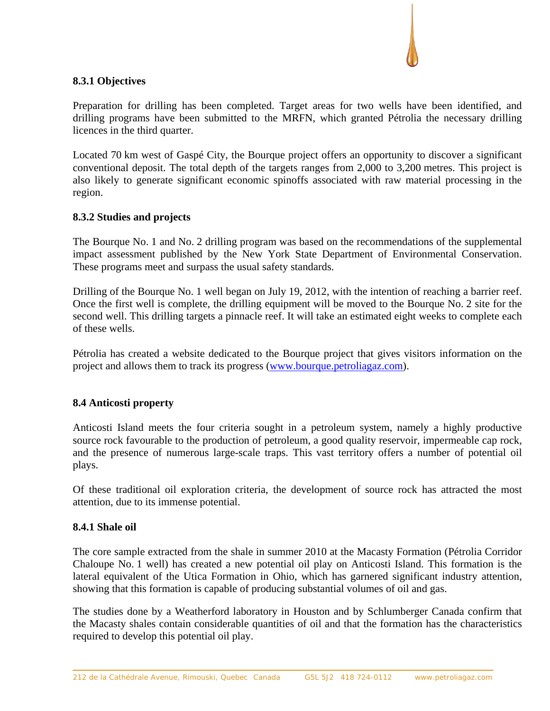## **8.3.1 Objectives**

Preparation for drilling has been completed. Target areas for two wells have been identified, and drilling programs have been submitted to the MRFN, which granted Pétrolia the necessary drilling licences in the third quarter.

Located 70 km west of Gaspé City, the Bourque project offers an opportunity to discover a significant conventional deposit. The total depth of the targets ranges from 2,000 to 3,200 metres. This project is also likely to generate significant economic spinoffs associated with raw material processing in the region.

## **8.3.2 Studies and projects**

The Bourque No. 1 and No. 2 drilling program was based on the recommendations of the supplemental impact assessment published by the New York State Department of Environmental Conservation. These programs meet and surpass the usual safety standards.

Drilling of the Bourque No. 1 well began on July 19, 2012, with the intention of reaching a barrier reef. Once the first well is complete, the drilling equipment will be moved to the Bourque No. 2 site for the second well. This drilling targets a pinnacle reef. It will take an estimated eight weeks to complete each of these wells.

Pétrolia has created a website dedicated to the Bourque project that gives visitors information on the project and allows them to track its progress (www.bourque.petroliagaz.com).

## **8.4 Anticosti property**

Anticosti Island meets the four criteria sought in a petroleum system, namely a highly productive source rock favourable to the production of petroleum, a good quality reservoir, impermeable cap rock, and the presence of numerous large-scale traps. This vast territory offers a number of potential oil plays.

Of these traditional oil exploration criteria, the development of source rock has attracted the most attention, due to its immense potential.

### **8.4.1 Shale oil**

The core sample extracted from the shale in summer 2010 at the Macasty Formation (Pétrolia Corridor Chaloupe No. 1 well) has created a new potential oil play on Anticosti Island. This formation is the lateral equivalent of the Utica Formation in Ohio, which has garnered significant industry attention, showing that this formation is capable of producing substantial volumes of oil and gas.

The studies done by a Weatherford laboratory in Houston and by Schlumberger Canada confirm that the Macasty shales contain considerable quantities of oil and that the formation has the characteristics required to develop this potential oil play.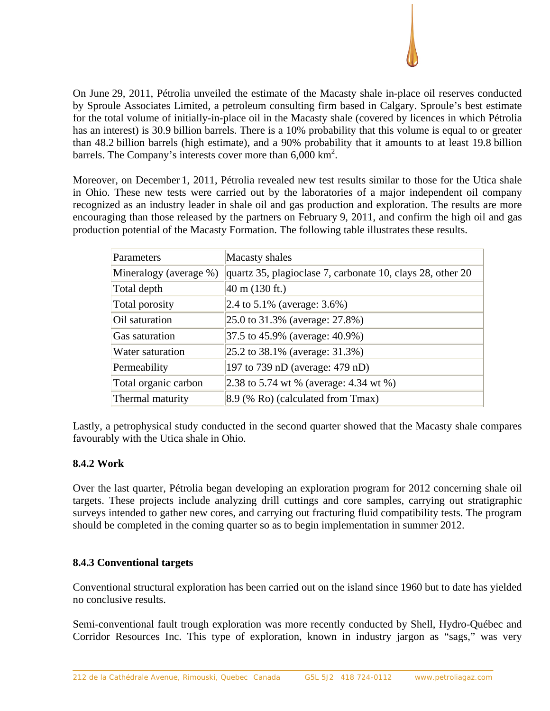

On June 29, 2011, Pétrolia unveiled the estimate of the Macasty shale in-place oil reserves conducted by Sproule Associates Limited, a petroleum consulting firm based in Calgary. Sproule's best estimate for the total volume of initially-in-place oil in the Macasty shale (covered by licences in which Pétrolia has an interest) is 30.9 billion barrels. There is a 10% probability that this volume is equal to or greater than 48.2 billion barrels (high estimate), and a 90% probability that it amounts to at least 19.8 billion barrels. The Company's interests cover more than  $6,000 \text{ km}^2$ .

Moreover, on December 1, 2011, Pétrolia revealed new test results similar to those for the Utica shale in Ohio. These new tests were carried out by the laboratories of a major independent oil company recognized as an industry leader in shale oil and gas production and exploration. The results are more encouraging than those released by the partners on February 9, 2011, and confirm the high oil and gas production potential of the Macasty Formation. The following table illustrates these results.

| Parameters             | Macasty shales                                             |
|------------------------|------------------------------------------------------------|
| Mineralogy (average %) | quartz 35, plagioclase 7, carbonate 10, clays 28, other 20 |
| Total depth            | $40 \text{ m}$ (130 ft.)                                   |
| Total porosity         | 2.4 to 5.1% (average: $3.6\%$ )                            |
| Oil saturation         | 25.0 to 31.3% (average: 27.8%)                             |
| Gas saturation         | 37.5 to 45.9% (average: 40.9%)                             |
| Water saturation       | $ 25.2 \text{ to } 38.1\%$ (average: 31.3%)                |
| Permeability           | 197 to 739 nD (average: 479 nD)                            |
| Total organic carbon   | 2.38 to 5.74 wt % (average: 4.34 wt %)                     |
| Thermal maturity       | 8.9 (% Ro) (calculated from Tmax)                          |

Lastly, a petrophysical study conducted in the second quarter showed that the Macasty shale compares favourably with the Utica shale in Ohio.

## **8.4.2 Work**

Over the last quarter, Pétrolia began developing an exploration program for 2012 concerning shale oil targets. These projects include analyzing drill cuttings and core samples, carrying out stratigraphic surveys intended to gather new cores, and carrying out fracturing fluid compatibility tests. The program should be completed in the coming quarter so as to begin implementation in summer 2012.

## **8.4.3 Conventional targets**

Conventional structural exploration has been carried out on the island since 1960 but to date has yielded no conclusive results.

Semi-conventional fault trough exploration was more recently conducted by Shell, Hydro-Québec and Corridor Resources Inc. This type of exploration, known in industry jargon as "sags," was very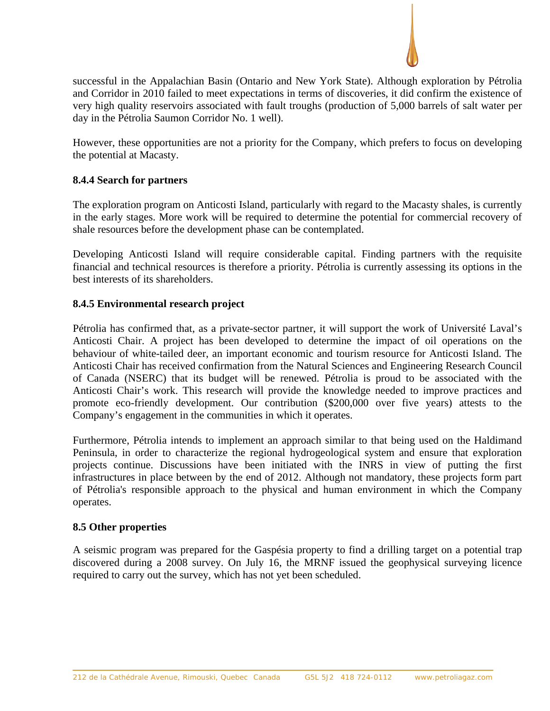

successful in the Appalachian Basin (Ontario and New York State). Although exploration by Pétrolia and Corridor in 2010 failed to meet expectations in terms of discoveries, it did confirm the existence of very high quality reservoirs associated with fault troughs (production of 5,000 barrels of salt water per day in the Pétrolia Saumon Corridor No. 1 well).

However, these opportunities are not a priority for the Company, which prefers to focus on developing the potential at Macasty.

## **8.4.4 Search for partners**

The exploration program on Anticosti Island, particularly with regard to the Macasty shales, is currently in the early stages. More work will be required to determine the potential for commercial recovery of shale resources before the development phase can be contemplated.

Developing Anticosti Island will require considerable capital. Finding partners with the requisite financial and technical resources is therefore a priority. Pétrolia is currently assessing its options in the best interests of its shareholders.

## **8.4.5 Environmental research project**

Pétrolia has confirmed that, as a private-sector partner, it will support the work of Université Laval's Anticosti Chair. A project has been developed to determine the impact of oil operations on the behaviour of white-tailed deer, an important economic and tourism resource for Anticosti Island. The Anticosti Chair has received confirmation from the Natural Sciences and Engineering Research Council of Canada (NSERC) that its budget will be renewed. Pétrolia is proud to be associated with the Anticosti Chair's work. This research will provide the knowledge needed to improve practices and promote eco-friendly development. Our contribution (\$200,000 over five years) attests to the Company's engagement in the communities in which it operates.

Furthermore, Pétrolia intends to implement an approach similar to that being used on the Haldimand Peninsula, in order to characterize the regional hydrogeological system and ensure that exploration projects continue. Discussions have been initiated with the INRS in view of putting the first infrastructures in place between by the end of 2012. Although not mandatory, these projects form part of Pétrolia's responsible approach to the physical and human environment in which the Company operates.

### **8.5 Other properties**

A seismic program was prepared for the Gaspésia property to find a drilling target on a potential trap discovered during a 2008 survey. On July 16, the MRNF issued the geophysical surveying licence required to carry out the survey, which has not yet been scheduled.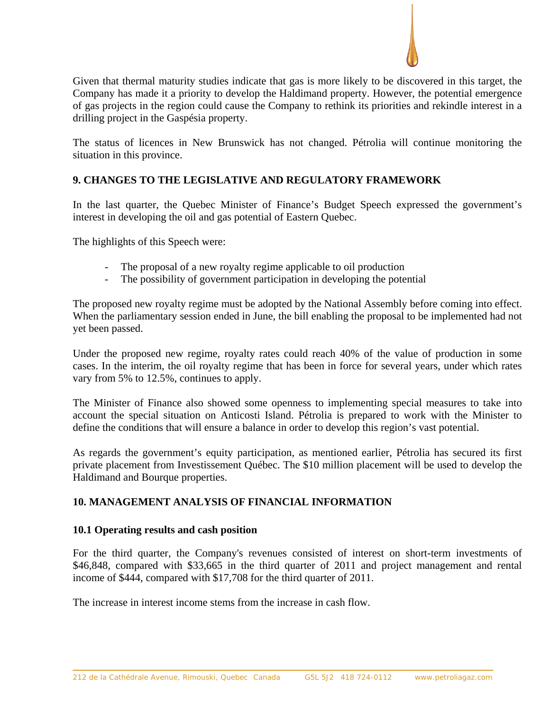

Given that thermal maturity studies indicate that gas is more likely to be discovered in this target, the Company has made it a priority to develop the Haldimand property. However, the potential emergence of gas projects in the region could cause the Company to rethink its priorities and rekindle interest in a drilling project in the Gaspésia property.

The status of licences in New Brunswick has not changed. Pétrolia will continue monitoring the situation in this province.

## **9. CHANGES TO THE LEGISLATIVE AND REGULATORY FRAMEWORK**

In the last quarter, the Quebec Minister of Finance's Budget Speech expressed the government's interest in developing the oil and gas potential of Eastern Quebec.

The highlights of this Speech were:

- The proposal of a new royalty regime applicable to oil production
- The possibility of government participation in developing the potential

The proposed new royalty regime must be adopted by the National Assembly before coming into effect. When the parliamentary session ended in June, the bill enabling the proposal to be implemented had not yet been passed.

Under the proposed new regime, royalty rates could reach 40% of the value of production in some cases. In the interim, the oil royalty regime that has been in force for several years, under which rates vary from 5% to 12.5%, continues to apply.

The Minister of Finance also showed some openness to implementing special measures to take into account the special situation on Anticosti Island. Pétrolia is prepared to work with the Minister to define the conditions that will ensure a balance in order to develop this region's vast potential.

As regards the government's equity participation, as mentioned earlier, Pétrolia has secured its first private placement from Investissement Québec. The \$10 million placement will be used to develop the Haldimand and Bourque properties.

## **10. MANAGEMENT ANALYSIS OF FINANCIAL INFORMATION**

### **10.1 Operating results and cash position**

For the third quarter, the Company's revenues consisted of interest on short-term investments of \$46,848, compared with \$33,665 in the third quarter of 2011 and project management and rental income of \$444, compared with \$17,708 for the third quarter of 2011.

The increase in interest income stems from the increase in cash flow.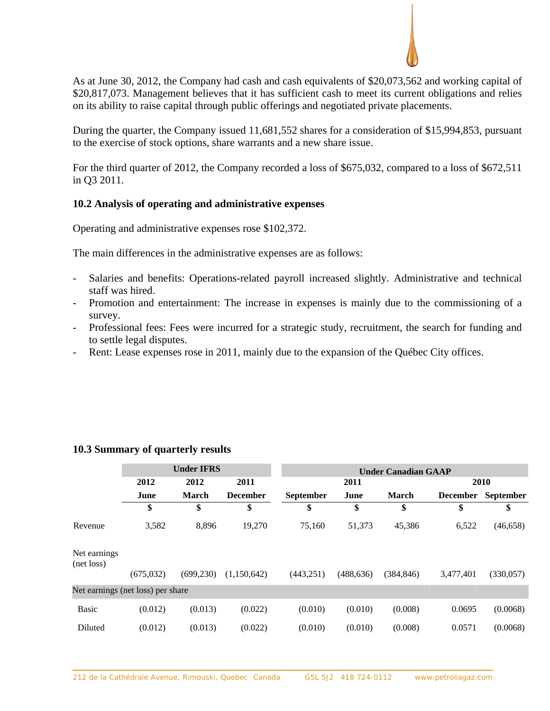

As at June 30, 2012, the Company had cash and cash equivalents of \$20,073,562 and working capital of \$20,817,073. Management believes that it has sufficient cash to meet its current obligations and relies on its ability to raise capital through public offerings and negotiated private placements.

During the quarter, the Company issued 11,681,552 shares for a consideration of \$15,994,853, pursuant to the exercise of stock options, share warrants and a new share issue.

For the third quarter of 2012, the Company recorded a loss of \$675,032, compared to a loss of \$672,511 in Q3 2011.

## **10.2 Analysis of operating and administrative expenses**

Operating and administrative expenses rose \$102,372.

The main differences in the administrative expenses are as follows:

- Salaries and benefits: Operations-related payroll increased slightly. Administrative and technical staff was hired.
- Promotion and entertainment: The increase in expenses is mainly due to the commissioning of a survey.
- Professional fees: Fees were incurred for a strategic study, recruitment, the search for funding and to settle legal disputes.
- Rent: Lease expenses rose in 2011, mainly due to the expansion of the Québec City offices.

|                                   |            | <b>Under IFRS</b> |                 | <b>Under Canadian GAAP</b> |            |              |                 |                  |
|-----------------------------------|------------|-------------------|-----------------|----------------------------|------------|--------------|-----------------|------------------|
|                                   | 2012       | 2012              | 2011            |                            | 2011       |              |                 | 2010             |
|                                   | June       | <b>March</b>      | <b>December</b> | <b>September</b>           | June       | <b>March</b> | <b>December</b> | <b>September</b> |
|                                   | \$         | \$                | \$              | \$                         | \$         | \$           | \$              | \$               |
| Revenue                           | 3,582      | 8,896             | 19,270          | 75,160                     | 51,373     | 45,386       | 6,522           | (46, 658)        |
| Net earnings<br>(net loss)        |            |                   |                 |                            |            |              |                 |                  |
|                                   | (675, 032) | (699, 230)        | (1,150,642)     | (443, 251)                 | (488, 636) | (384, 846)   | 3,477,401       | (330,057)        |
| Net earnings (net loss) per share |            |                   |                 |                            |            |              |                 |                  |
| <b>Basic</b>                      | (0.012)    | (0.013)           | (0.022)         | (0.010)                    | (0.010)    | (0.008)      | 0.0695          | (0.0068)         |
| <b>Diluted</b>                    | (0.012)    | (0.013)           | (0.022)         | (0.010)                    | (0.010)    | (0.008)      | 0.0571          | (0.0068)         |

## **10.3 Summary of quarterly results**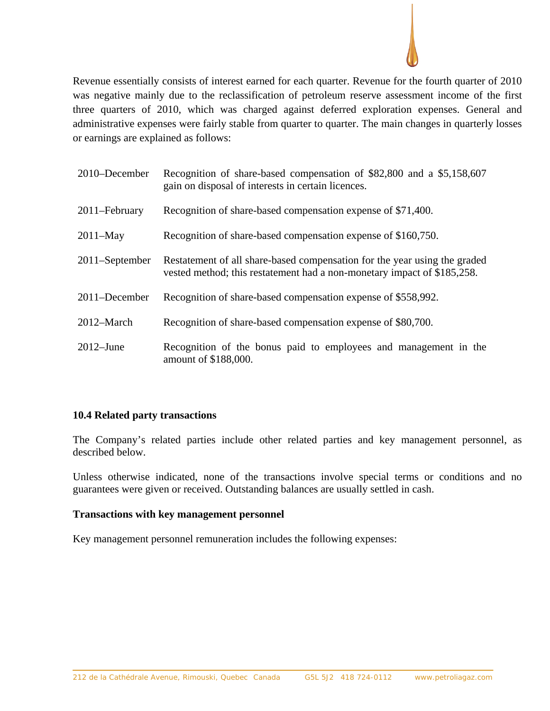

Revenue essentially consists of interest earned for each quarter. Revenue for the fourth quarter of 2010 was negative mainly due to the reclassification of petroleum reserve assessment income of the first three quarters of 2010, which was charged against deferred exploration expenses. General and administrative expenses were fairly stable from quarter to quarter. The main changes in quarterly losses or earnings are explained as follows:

| 2010–December  | Recognition of share-based compensation of \$82,800 and a \$5,158,607<br>gain on disposal of interests in certain licences.                          |
|----------------|------------------------------------------------------------------------------------------------------------------------------------------------------|
| 2011–February  | Recognition of share-based compensation expense of \$71,400.                                                                                         |
| $2011-May$     | Recognition of share-based compensation expense of \$160,750.                                                                                        |
| 2011–September | Restatement of all share-based compensation for the year using the graded<br>vested method; this restatement had a non-monetary impact of \$185,258. |
| 2011–December  | Recognition of share-based compensation expense of \$558,992.                                                                                        |
| 2012-March     | Recognition of share-based compensation expense of \$80,700.                                                                                         |
| $2012 - June$  | Recognition of the bonus paid to employees and management in the<br>amount of \$188,000.                                                             |

## **10.4 Related party transactions**

The Company's related parties include other related parties and key management personnel, as described below.

Unless otherwise indicated, none of the transactions involve special terms or conditions and no guarantees were given or received. Outstanding balances are usually settled in cash.

### **Transactions with key management personnel**

Key management personnel remuneration includes the following expenses: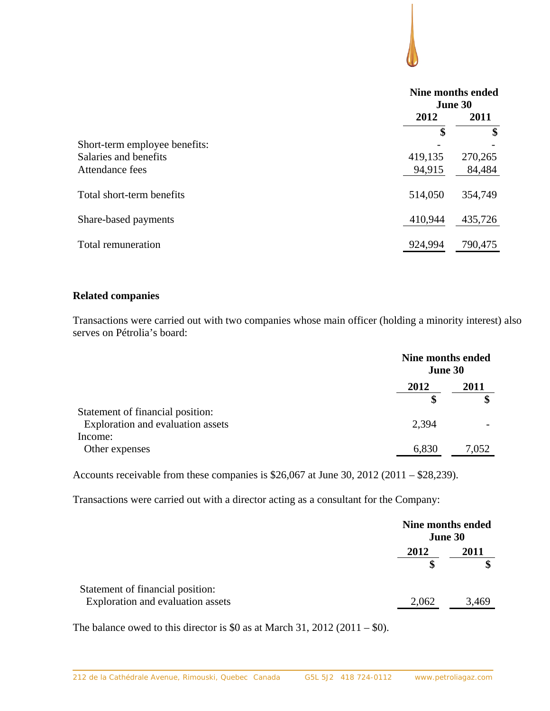|                               | Nine months ended<br>June 30 |         |
|-------------------------------|------------------------------|---------|
|                               | 2012                         | 2011    |
|                               | \$                           | \$      |
| Short-term employee benefits: |                              |         |
| Salaries and benefits         | 419,135                      | 270,265 |
| Attendance fees               | 94,915                       | 84,484  |
| Total short-term benefits     | 514,050                      | 354,749 |
| Share-based payments          | 410,944                      | 435,726 |
| Total remuneration            | 924,994                      | 790,475 |

## **Related companies**

Transactions were carried out with two companies whose main officer (holding a minority interest) also serves on Pétrolia's board:

|                                   | Nine months ended<br>June 30 |       |
|-----------------------------------|------------------------------|-------|
|                                   | 2011<br>2012                 |       |
|                                   | \$                           | \$    |
| Statement of financial position:  |                              |       |
| Exploration and evaluation assets | 2,394                        |       |
| Income:                           |                              |       |
| Other expenses                    | 6,830                        | 7,052 |

Accounts receivable from these companies is \$26,067 at June 30, 2012 (2011 – \$28,239).

Transactions were carried out with a director acting as a consultant for the Company:

|                                                                       |       | Nine months ended<br>June 30 |  |
|-----------------------------------------------------------------------|-------|------------------------------|--|
|                                                                       | 2012  | 2011<br>œ                    |  |
| Statement of financial position:<br>Exploration and evaluation assets | 2,062 | 3,469                        |  |

The balance owed to this director is \$0 as at March 31, 2012 (2011 – \$0).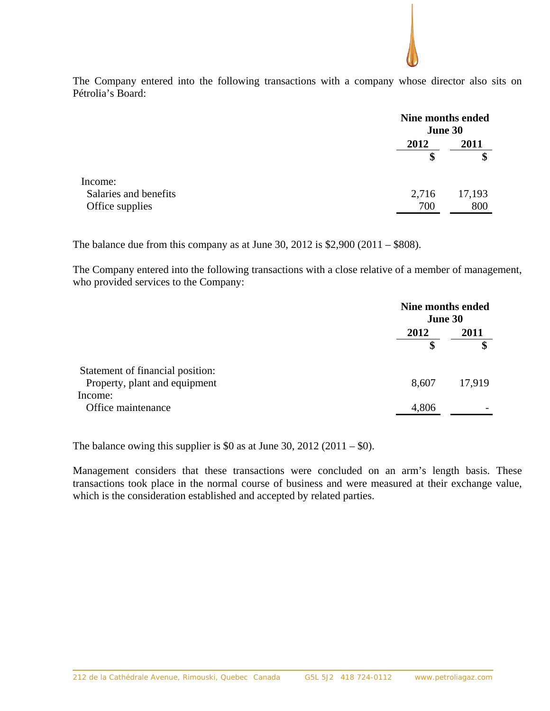The Company entered into the following transactions with a company whose director also sits on Pétrolia's Board:

|                       | Nine months ended<br>June 30 |        |
|-----------------------|------------------------------|--------|
|                       | 2012                         | 2011   |
|                       | \$                           | \$     |
| Income:               |                              |        |
| Salaries and benefits | 2,716                        | 17,193 |
| Office supplies       | 700                          | 800    |
|                       |                              |        |

The balance due from this company as at June 30, 2012 is  $$2,900 (2011 - $808)$ .

The Company entered into the following transactions with a close relative of a member of management, who provided services to the Company:

|                                                                   | Nine months ended<br><b>June 30</b> |            |
|-------------------------------------------------------------------|-------------------------------------|------------|
|                                                                   | 2012                                | 2011<br>\$ |
| Statement of financial position:<br>Property, plant and equipment | 8,607                               | 17,919     |
| Income:<br>Office maintenance                                     | 4,806                               |            |

The balance owing this supplier is \$0 as at June 30, 2012 (2011 – \$0).

Management considers that these transactions were concluded on an arm's length basis. These transactions took place in the normal course of business and were measured at their exchange value, which is the consideration established and accepted by related parties.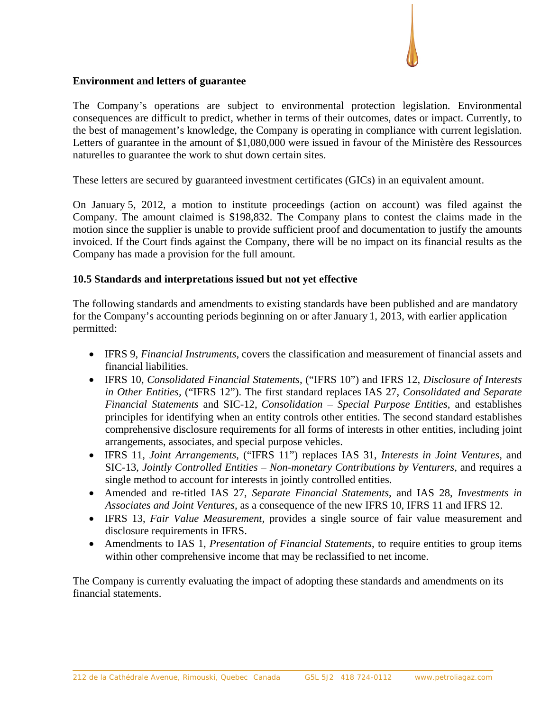## **Environment and letters of guarantee**

The Company's operations are subject to environmental protection legislation. Environmental consequences are difficult to predict, whether in terms of their outcomes, dates or impact. Currently, to the best of management's knowledge, the Company is operating in compliance with current legislation. Letters of guarantee in the amount of \$1,080,000 were issued in favour of the Ministère des Ressources naturelles to guarantee the work to shut down certain sites.

These letters are secured by guaranteed investment certificates (GICs) in an equivalent amount.

On January 5, 2012, a motion to institute proceedings (action on account) was filed against the Company. The amount claimed is \$198,832. The Company plans to contest the claims made in the motion since the supplier is unable to provide sufficient proof and documentation to justify the amounts invoiced. If the Court finds against the Company, there will be no impact on its financial results as the Company has made a provision for the full amount.

## **10.5 Standards and interpretations issued but not yet effective**

The following standards and amendments to existing standards have been published and are mandatory for the Company's accounting periods beginning on or after January 1, 2013, with earlier application permitted:

- IFRS 9, *Financial Instruments*, covers the classification and measurement of financial assets and financial liabilities.
- IFRS 10, *Consolidated Financial Statements*, ("IFRS 10") and IFRS 12, *Disclosure of Interests in Other Entities,* ("IFRS 12"). The first standard replaces IAS 27, *Consolidated and Separate Financial Statements* and SIC-12, *Consolidation – Special Purpose Entities*, and establishes principles for identifying when an entity controls other entities. The second standard establishes comprehensive disclosure requirements for all forms of interests in other entities, including joint arrangements, associates, and special purpose vehicles.
- IFRS 11, *Joint Arrangements*, ("IFRS 11") replaces IAS 31, *Interests in Joint Ventures*, and SIC-13, *Jointly Controlled Entities – Non-monetary Contributions by Venturers*, and requires a single method to account for interests in jointly controlled entities.
- Amended and re-titled IAS 27, *Separate Financial Statements*, and IAS 28, *Investments in Associates and Joint Ventures*, as a consequence of the new IFRS 10, IFRS 11 and IFRS 12.
- IFRS 13, *Fair Value Measurement,* provides a single source of fair value measurement and disclosure requirements in IFRS.
- Amendments to IAS 1, *Presentation of Financial Statements*, to require entities to group items within other comprehensive income that may be reclassified to net income.

The Company is currently evaluating the impact of adopting these standards and amendments on its financial statements.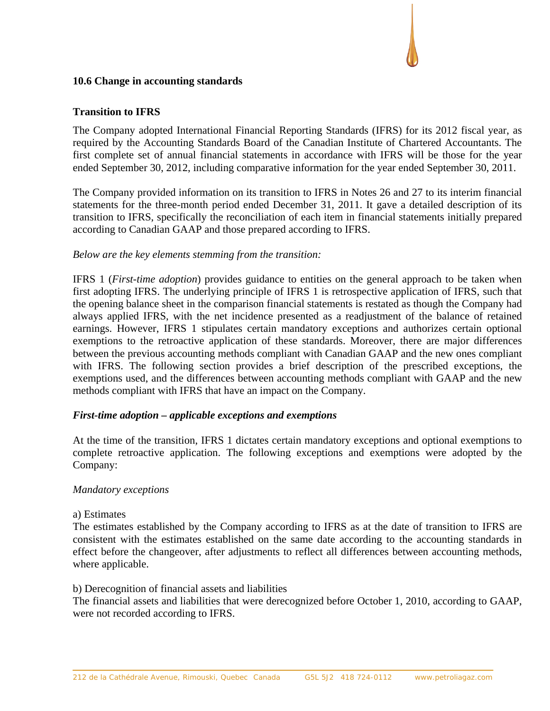## **10.6 Change in accounting standards**

## **Transition to IFRS**

The Company adopted International Financial Reporting Standards (IFRS) for its 2012 fiscal year, as required by the Accounting Standards Board of the Canadian Institute of Chartered Accountants. The first complete set of annual financial statements in accordance with IFRS will be those for the year ended September 30, 2012, including comparative information for the year ended September 30, 2011.

The Company provided information on its transition to IFRS in Notes 26 and 27 to its interim financial statements for the three-month period ended December 31, 2011. It gave a detailed description of its transition to IFRS, specifically the reconciliation of each item in financial statements initially prepared according to Canadian GAAP and those prepared according to IFRS.

## *Below are the key elements stemming from the transition:*

IFRS 1 (*First-time adoption*) provides guidance to entities on the general approach to be taken when first adopting IFRS. The underlying principle of IFRS 1 is retrospective application of IFRS, such that the opening balance sheet in the comparison financial statements is restated as though the Company had always applied IFRS, with the net incidence presented as a readjustment of the balance of retained earnings. However, IFRS 1 stipulates certain mandatory exceptions and authorizes certain optional exemptions to the retroactive application of these standards. Moreover, there are major differences between the previous accounting methods compliant with Canadian GAAP and the new ones compliant with IFRS. The following section provides a brief description of the prescribed exceptions, the exemptions used, and the differences between accounting methods compliant with GAAP and the new methods compliant with IFRS that have an impact on the Company.

### *First-time adoption – applicable exceptions and exemptions*

At the time of the transition, IFRS 1 dictates certain mandatory exceptions and optional exemptions to complete retroactive application. The following exceptions and exemptions were adopted by the Company:

### *Mandatory exceptions*

### a) Estimates

The estimates established by the Company according to IFRS as at the date of transition to IFRS are consistent with the estimates established on the same date according to the accounting standards in effect before the changeover, after adjustments to reflect all differences between accounting methods, where applicable.

### b) Derecognition of financial assets and liabilities

The financial assets and liabilities that were derecognized before October 1, 2010, according to GAAP, were not recorded according to IFRS.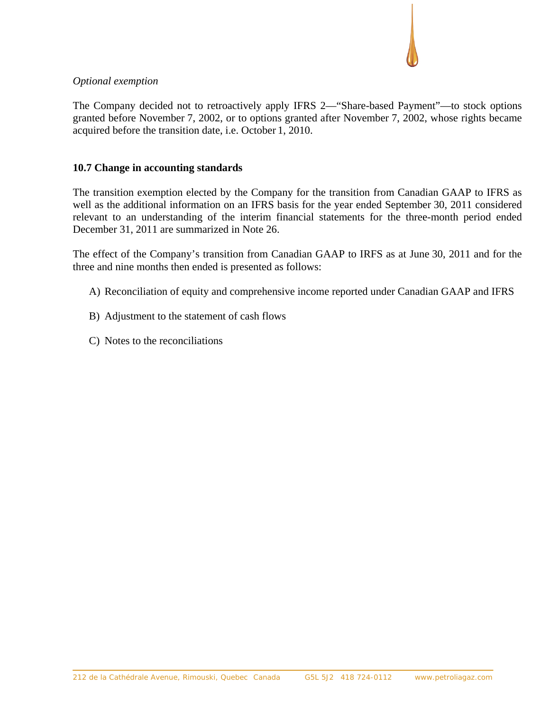## *Optional exemption*

The Company decided not to retroactively apply IFRS 2—"Share-based Payment"—to stock options granted before November 7, 2002, or to options granted after November 7, 2002, whose rights became acquired before the transition date, i.e. October 1, 2010.

## **10.7 Change in accounting standards**

The transition exemption elected by the Company for the transition from Canadian GAAP to IFRS as well as the additional information on an IFRS basis for the year ended September 30, 2011 considered relevant to an understanding of the interim financial statements for the three-month period ended December 31, 2011 are summarized in Note 26.

The effect of the Company's transition from Canadian GAAP to IRFS as at June 30, 2011 and for the three and nine months then ended is presented as follows:

- A) Reconciliation of equity and comprehensive income reported under Canadian GAAP and IFRS
- B) Adjustment to the statement of cash flows
- C) Notes to the reconciliations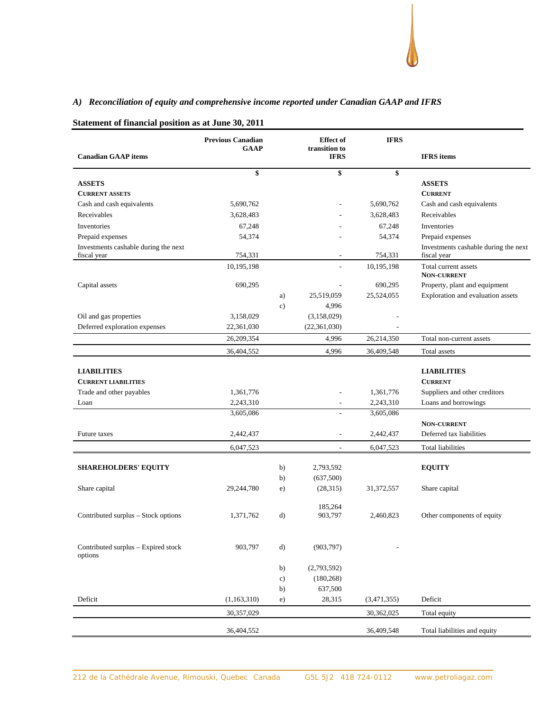## *A) Reconciliation of equity and comprehensive income reported under Canadian GAAP and IFRS*

|                                                | <b>Previous Canadian</b> |               | <b>Effect</b> of             | <b>IFRS</b> |                                            |
|------------------------------------------------|--------------------------|---------------|------------------------------|-------------|--------------------------------------------|
| <b>Canadian GAAP</b> items                     | <b>GAAP</b>              |               | transition to<br><b>IFRS</b> |             | <b>IFRS</b> items                          |
|                                                |                          |               |                              |             |                                            |
|                                                | \$                       |               | \$                           | \$          |                                            |
| <b>ASSETS</b>                                  |                          |               |                              |             | <b>ASSETS</b>                              |
| <b>CURRENT ASSETS</b>                          |                          |               |                              |             | <b>CURRENT</b>                             |
| Cash and cash equivalents                      | 5,690,762                |               |                              | 5,690,762   | Cash and cash equivalents                  |
| Receivables                                    | 3,628,483                |               |                              | 3,628,483   | Receivables                                |
| Inventories                                    | 67,248                   |               |                              | 67,248      | Inventories                                |
| Prepaid expenses                               | 54,374                   |               |                              | 54,374      | Prepaid expenses                           |
| Investments cashable during the next           |                          |               |                              |             | Investments cashable during the next       |
| fiscal year                                    | 754,331                  |               |                              | 754,331     | fiscal year                                |
|                                                | 10,195,198               |               | ٠                            | 10,195,198  | Total current assets<br><b>NON-CURRENT</b> |
| Capital assets                                 | 690,295                  |               |                              | 690,295     | Property, plant and equipment              |
|                                                |                          | a)            | 25,519,059                   | 25,524,055  | Exploration and evaluation assets          |
|                                                |                          | $\mathbf{c})$ | 4,996                        |             |                                            |
| Oil and gas properties                         | 3,158,029                |               | (3,158,029)                  |             |                                            |
| Deferred exploration expenses                  | 22,361,030               |               | (22, 361, 030)               |             |                                            |
|                                                | 26,209,354               |               | 4,996                        | 26,214,350  | Total non-current assets                   |
|                                                |                          |               | 4,996                        | 36,409,548  |                                            |
|                                                | 36,404,552               |               |                              |             | Total assets                               |
| <b>LIABILITIES</b>                             |                          |               |                              |             | <b>LIABILITIES</b>                         |
| <b>CURRENT LIABILITIES</b>                     |                          |               |                              |             | <b>CURRENT</b>                             |
| Trade and other payables                       | 1,361,776                |               |                              | 1,361,776   | Suppliers and other creditors              |
| Loan                                           | 2,243,310                |               |                              | 2,243,310   | Loans and borrowings                       |
|                                                | 3,605,086                |               |                              | 3,605,086   |                                            |
|                                                |                          |               |                              |             | <b>NON-CURRENT</b>                         |
| Future taxes                                   | 2,442,437                |               |                              | 2,442,437   | Deferred tax liabilities                   |
|                                                | 6,047,523                |               |                              | 6,047,523   | Total liabilities                          |
|                                                |                          |               |                              |             |                                            |
| <b>SHAREHOLDERS' EQUITY</b>                    |                          | b)            | 2,793,592                    |             | <b>EQUITY</b>                              |
|                                                |                          | b)            | (637,500)                    |             |                                            |
| Share capital                                  | 29,244,780               | e)            | (28, 315)                    | 31,372,557  | Share capital                              |
|                                                |                          |               |                              |             |                                            |
|                                                |                          |               | 185,264                      |             |                                            |
| Contributed surplus - Stock options            | 1,371,762                | $\mathbf{d}$  | 903,797                      | 2,460,823   | Other components of equity                 |
|                                                |                          |               |                              |             |                                            |
|                                                |                          |               |                              |             |                                            |
| Contributed surplus – Expired stock<br>options | 903,797                  | $\mathbf{d}$  | (903, 797)                   |             |                                            |
|                                                |                          |               |                              |             |                                            |
|                                                |                          | b)            | (2,793,592)                  |             |                                            |
|                                                |                          | c)            | (180, 268)                   |             |                                            |
|                                                |                          | b)            | 637,500                      |             |                                            |
| Deficit                                        | (1,163,310)              | e)            | 28,315                       | (3,471,355) | Deficit                                    |
|                                                | 30,357,029               |               |                              | 30,362,025  | Total equity                               |
|                                                | 36,404,552               |               |                              | 36,409,548  | Total liabilities and equity               |
|                                                |                          |               |                              |             |                                            |

#### **Statement of financial position as at June 30, 2011**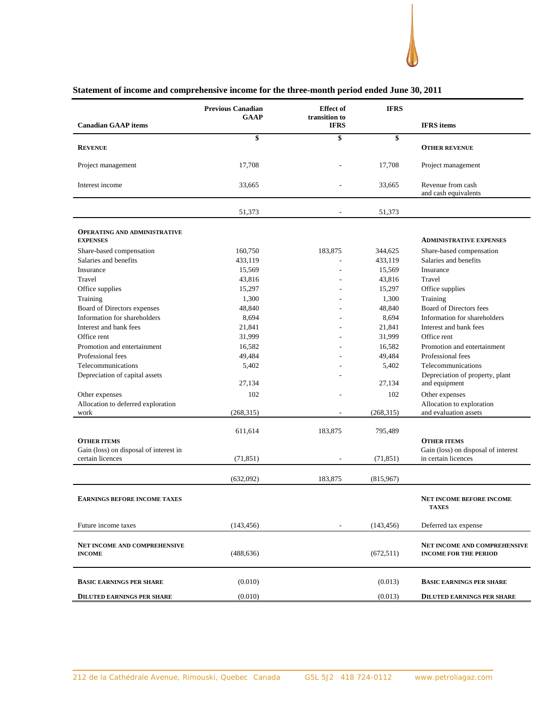

#### **Canadian GAAP items Previous Canadian GAAP Effect of transition to IFRS IFRS IFRS items \$ \$ \$ REVENUE OTHER REVENUE OTHER REVENUE** Project management 17,708 - 17,708 Project management Interest income 33,665 - 33,665 Revenue from cash and cash equivalents 51,373 - 51,373 **OPERATING AND ADMINISTRATIVE EXPENSES ADMINISTRATIVE EXPENSES** Share-based compensation 160,750 183,875 344,625 Share-based compensation 160,750 183,875 Share-based compensation Salaries and benefits **433,119** - 433,119 Salaries and benefits **433,119** Salaries and benefits Insurance 15,569 115,569 Insurance 15,569 Insurance Travel 13,816 - 43,816 - 43,816 Travel Office supplies 15,297 15,297 15,297 Office supplies Training 1,300 1,300 - 1,300 Training Board of Directors expenses 48,840  $-$  48,840 Board of Directors fees Information for shareholders 8,694 8,694 Information for shareholders 8,694 Information for shareholders Interest and bank fees 21,841 - 21,841 Interest and bank fees Office rent 31,999 31,999 - 31,999 31,999 31,999 31,999 31,999 31,999 31,999 31,999 31,999 31,999 31,999 31,999 31,999 31,999 31,999 31,999 31,999 31,999 31,999 31,999 31,999 31,999 31,999 31,999 31,999 31,999 31,999 31,99 Promotion and entertainment 16,582 16,582 Promotion and entertainment 16,582 Promotion and entertainment Professional fees and the state 49,484 and 49,484 and 49,484 Professional fees and 49,484 and 49,484 Professional fees Telecommunications 5,402 5,402 Telecommunications 5,402 Telecommunications Depreciation of capital assets 27,134 **- All Controls of the State** 27,134 Depreciation of property, plant and equipment Other expenses 102 102 Other expenses 102 Other expenses Allocation to deferred exploration work (268,315) - (268,315) Allocation to exploration and evaluation assets 611,614 183,875 795,489 **OTHER ITEMS OTHER ITEMS** Gain (loss) on disposal of interest in certain licences (71,851) - (71,851) Gain (loss) on disposal of interest in certain licences  $(632,092)$  183,875 (815,967) **EARNINGS BEFORE INCOME TAXES NET INCOME BEFORE INCOME TAXES** Future income taxes (143,456) (143,456) - (143,456) Deferred tax expense **NET INCOME AND COMPREHENSIVE INCOME** (488,636) (672,511) **NET INCOME AND COMPREHENSIVE INCOME FOR THE PERIOD**

#### **Statement of income and comprehensive income for the three-month period ended June 30, 2011**

**BASIC EARNINGS PER SHARE** (0.010) (0.013) **BASIC EARNINGS PER SHARE DILUTED EARNINGS PER SHARE** (0.010) (0.013) **DILUTED EARNINGS PER SHARE**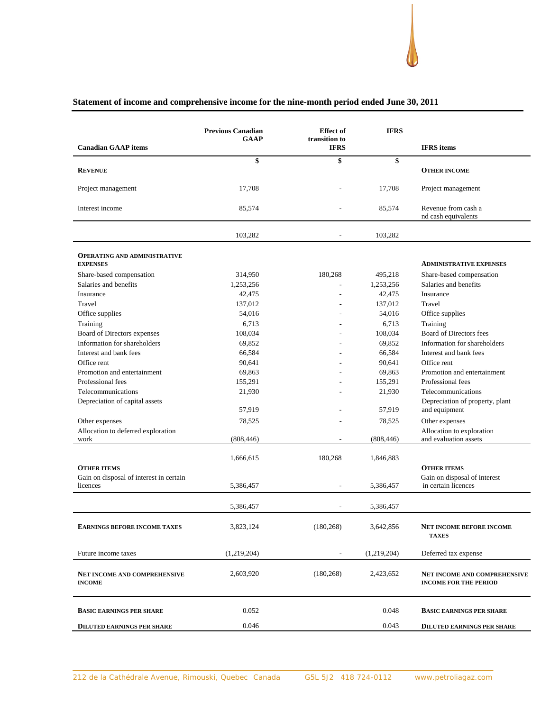## **Statement of income and comprehensive income for the nine-month period ended June 30, 2011**

|                                                     | <b>Previous Canadian</b><br><b>GAAP</b> | <b>Effect</b> of<br>transition to | <b>IFRS</b> |                                                                     |
|-----------------------------------------------------|-----------------------------------------|-----------------------------------|-------------|---------------------------------------------------------------------|
| <b>Canadian GAAP</b> items                          |                                         | <b>IFRS</b>                       |             | <b>IFRS</b> items                                                   |
| <b>REVENUE</b>                                      | \$                                      | \$                                | \$          | <b>OTHER INCOME</b>                                                 |
| Project management                                  | 17,708                                  |                                   | 17,708      | Project management                                                  |
| Interest income                                     | 85,574                                  |                                   | 85,574      | Revenue from cash a<br>nd cash equivalents                          |
|                                                     | 103,282                                 |                                   | 103,282     |                                                                     |
| <b>OPERATING AND ADMINISTRATIVE</b>                 |                                         |                                   |             |                                                                     |
| <b>EXPENSES</b>                                     |                                         |                                   |             | <b>ADMINISTRATIVE EXPENSES</b>                                      |
| Share-based compensation                            | 314,950                                 | 180,268                           | 495,218     | Share-based compensation                                            |
| Salaries and benefits                               | 1,253,256                               |                                   | 1,253,256   | Salaries and benefits                                               |
| Insurance                                           | 42,475                                  |                                   | 42,475      | Insurance                                                           |
| Travel                                              | 137,012                                 |                                   | 137,012     | Travel                                                              |
| Office supplies                                     | 54,016                                  |                                   | 54,016      | Office supplies                                                     |
| Training                                            | 6,713                                   |                                   | 6,713       | Training                                                            |
| Board of Directors expenses                         | 108,034                                 |                                   | 108,034     | Board of Directors fees                                             |
| Information for shareholders                        | 69,852                                  |                                   | 69,852      | Information for shareholders                                        |
| Interest and bank fees                              | 66,584                                  |                                   | 66,584      | Interest and bank fees                                              |
| Office rent                                         | 90,641                                  |                                   | 90,641      | Office rent                                                         |
| Promotion and entertainment                         | 69,863                                  |                                   | 69,863      | Promotion and entertainment                                         |
| Professional fees                                   | 155,291                                 |                                   | 155,291     | Professional fees                                                   |
| Telecommunications                                  | 21,930                                  |                                   | 21,930      | Telecommunications                                                  |
| Depreciation of capital assets                      | 57,919                                  |                                   | 57,919      | Depreciation of property, plant<br>and equipment                    |
| Other expenses                                      | 78,525                                  |                                   | 78,525      | Other expenses                                                      |
| Allocation to deferred exploration                  |                                         |                                   |             | Allocation to exploration                                           |
| work                                                | (808, 446)                              |                                   | (808, 446)  | and evaluation assets                                               |
|                                                     | 1,666,615                               | 180,268                           | 1,846,883   |                                                                     |
| <b>OTHER ITEMS</b>                                  |                                         |                                   |             | <b>OTHER ITEMS</b>                                                  |
| Gain on disposal of interest in certain<br>licences | 5,386,457                               | $\overline{\phantom{a}}$          | 5,386,457   | Gain on disposal of interest<br>in certain licences                 |
|                                                     | 5,386,457                               |                                   | 5,386,457   |                                                                     |
| EARNINGS BEFORE INCOME TAXES                        | 3,823,124                               | (180, 268)                        | 3,642,856   | NET INCOME BEFORE INCOME<br><b>TAXES</b>                            |
| Future income taxes                                 | (1,219,204)                             |                                   | (1,219,204) | Deferred tax expense                                                |
| NET INCOME AND COMPREHENSIVE<br><b>INCOME</b>       | 2,603,920                               | (180, 268)                        | 2,423,652   | <b>NET INCOME AND COMPREHENSIVE</b><br><b>INCOME FOR THE PERIOD</b> |
| <b>BASIC EARNINGS PER SHARE</b>                     | 0.052                                   |                                   | 0.048       | <b>BASIC EARNINGS PER SHARE</b>                                     |
| <b>DILUTED EARNINGS PER SHARE</b>                   | 0.046                                   |                                   | 0.043       | <b>DILUTED EARNINGS PER SHARE</b>                                   |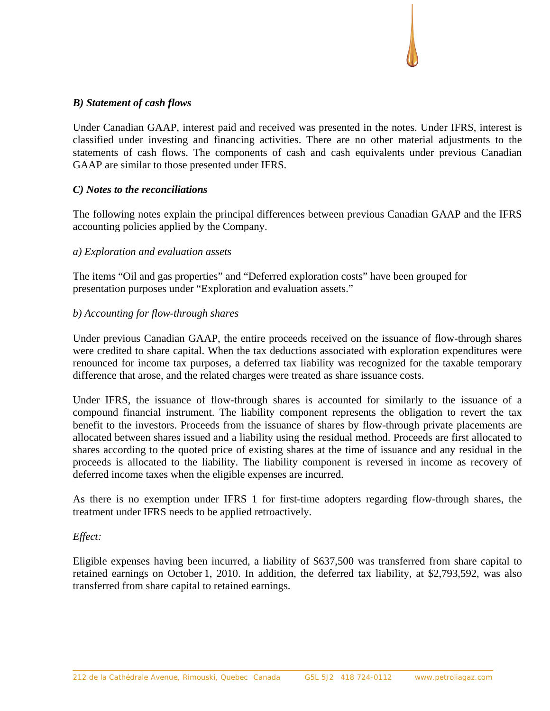## *B) Statement of cash flows*

Under Canadian GAAP, interest paid and received was presented in the notes. Under IFRS, interest is classified under investing and financing activities. There are no other material adjustments to the statements of cash flows. The components of cash and cash equivalents under previous Canadian GAAP are similar to those presented under IFRS.

## *C) Notes to the reconciliations*

The following notes explain the principal differences between previous Canadian GAAP and the IFRS accounting policies applied by the Company.

## *a) Exploration and evaluation assets*

The items "Oil and gas properties" and "Deferred exploration costs" have been grouped for presentation purposes under "Exploration and evaluation assets."

## *b) Accounting for flow-through shares*

Under previous Canadian GAAP, the entire proceeds received on the issuance of flow-through shares were credited to share capital. When the tax deductions associated with exploration expenditures were renounced for income tax purposes, a deferred tax liability was recognized for the taxable temporary difference that arose, and the related charges were treated as share issuance costs.

Under IFRS, the issuance of flow-through shares is accounted for similarly to the issuance of a compound financial instrument. The liability component represents the obligation to revert the tax benefit to the investors. Proceeds from the issuance of shares by flow-through private placements are allocated between shares issued and a liability using the residual method. Proceeds are first allocated to shares according to the quoted price of existing shares at the time of issuance and any residual in the proceeds is allocated to the liability. The liability component is reversed in income as recovery of deferred income taxes when the eligible expenses are incurred.

As there is no exemption under IFRS 1 for first-time adopters regarding flow-through shares, the treatment under IFRS needs to be applied retroactively.

## *Effect:*

Eligible expenses having been incurred, a liability of \$637,500 was transferred from share capital to retained earnings on October 1, 2010. In addition, the deferred tax liability, at \$2,793,592, was also transferred from share capital to retained earnings.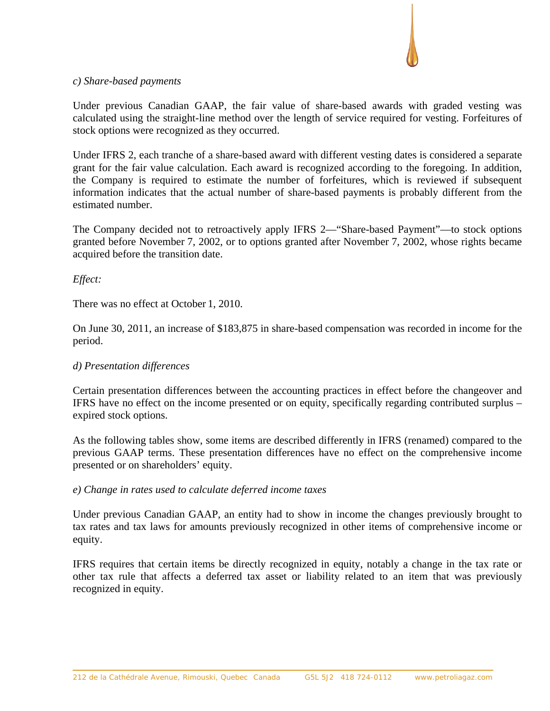

### *c) Share-based payments*

Under previous Canadian GAAP, the fair value of share-based awards with graded vesting was calculated using the straight-line method over the length of service required for vesting. Forfeitures of stock options were recognized as they occurred.

Under IFRS 2, each tranche of a share-based award with different vesting dates is considered a separate grant for the fair value calculation. Each award is recognized according to the foregoing. In addition, the Company is required to estimate the number of forfeitures, which is reviewed if subsequent information indicates that the actual number of share-based payments is probably different from the estimated number.

The Company decided not to retroactively apply IFRS 2—"Share-based Payment"—to stock options granted before November 7, 2002, or to options granted after November 7, 2002, whose rights became acquired before the transition date.

## *Effect:*

There was no effect at October 1, 2010.

On June 30, 2011, an increase of \$183,875 in share-based compensation was recorded in income for the period.

## *d) Presentation differences*

Certain presentation differences between the accounting practices in effect before the changeover and IFRS have no effect on the income presented or on equity, specifically regarding contributed surplus – expired stock options.

As the following tables show, some items are described differently in IFRS (renamed) compared to the previous GAAP terms. These presentation differences have no effect on the comprehensive income presented or on shareholders' equity.

## *e) Change in rates used to calculate deferred income taxes*

Under previous Canadian GAAP, an entity had to show in income the changes previously brought to tax rates and tax laws for amounts previously recognized in other items of comprehensive income or equity.

IFRS requires that certain items be directly recognized in equity, notably a change in the tax rate or other tax rule that affects a deferred tax asset or liability related to an item that was previously recognized in equity.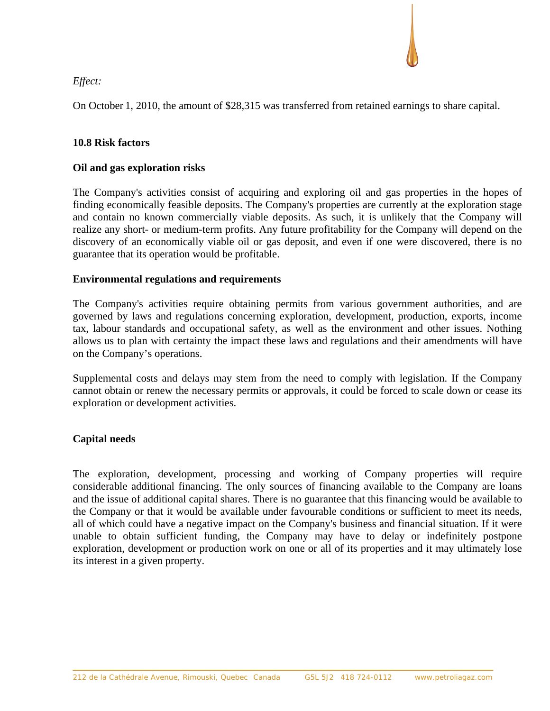## *Effect:*

On October 1, 2010, the amount of \$28,315 was transferred from retained earnings to share capital.

## **10.8 Risk factors**

## **Oil and gas exploration risks**

The Company's activities consist of acquiring and exploring oil and gas properties in the hopes of finding economically feasible deposits. The Company's properties are currently at the exploration stage and contain no known commercially viable deposits. As such, it is unlikely that the Company will realize any short- or medium-term profits. Any future profitability for the Company will depend on the discovery of an economically viable oil or gas deposit, and even if one were discovered, there is no guarantee that its operation would be profitable.

## **Environmental regulations and requirements**

The Company's activities require obtaining permits from various government authorities, and are governed by laws and regulations concerning exploration, development, production, exports, income tax, labour standards and occupational safety, as well as the environment and other issues. Nothing allows us to plan with certainty the impact these laws and regulations and their amendments will have on the Company's operations.

Supplemental costs and delays may stem from the need to comply with legislation. If the Company cannot obtain or renew the necessary permits or approvals, it could be forced to scale down or cease its exploration or development activities.

## **Capital needs**

The exploration, development, processing and working of Company properties will require considerable additional financing. The only sources of financing available to the Company are loans and the issue of additional capital shares. There is no guarantee that this financing would be available to the Company or that it would be available under favourable conditions or sufficient to meet its needs, all of which could have a negative impact on the Company's business and financial situation. If it were unable to obtain sufficient funding, the Company may have to delay or indefinitely postpone exploration, development or production work on one or all of its properties and it may ultimately lose its interest in a given property.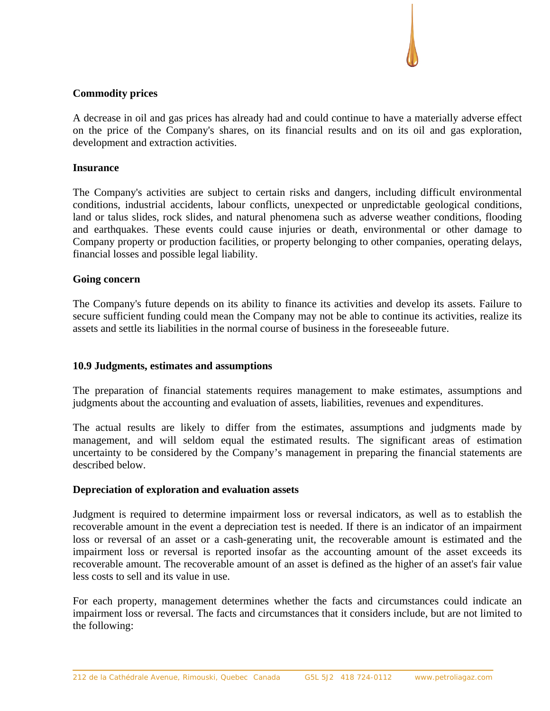## **Commodity prices**

A decrease in oil and gas prices has already had and could continue to have a materially adverse effect on the price of the Company's shares, on its financial results and on its oil and gas exploration, development and extraction activities.

### **Insurance**

The Company's activities are subject to certain risks and dangers, including difficult environmental conditions, industrial accidents, labour conflicts, unexpected or unpredictable geological conditions, land or talus slides, rock slides, and natural phenomena such as adverse weather conditions, flooding and earthquakes. These events could cause injuries or death, environmental or other damage to Company property or production facilities, or property belonging to other companies, operating delays, financial losses and possible legal liability.

## **Going concern**

The Company's future depends on its ability to finance its activities and develop its assets. Failure to secure sufficient funding could mean the Company may not be able to continue its activities, realize its assets and settle its liabilities in the normal course of business in the foreseeable future.

### **10.9 Judgments, estimates and assumptions**

The preparation of financial statements requires management to make estimates, assumptions and judgments about the accounting and evaluation of assets, liabilities, revenues and expenditures.

The actual results are likely to differ from the estimates, assumptions and judgments made by management, and will seldom equal the estimated results. The significant areas of estimation uncertainty to be considered by the Company's management in preparing the financial statements are described below.

### **Depreciation of exploration and evaluation assets**

Judgment is required to determine impairment loss or reversal indicators, as well as to establish the recoverable amount in the event a depreciation test is needed. If there is an indicator of an impairment loss or reversal of an asset or a cash-generating unit, the recoverable amount is estimated and the impairment loss or reversal is reported insofar as the accounting amount of the asset exceeds its recoverable amount. The recoverable amount of an asset is defined as the higher of an asset's fair value less costs to sell and its value in use.

For each property, management determines whether the facts and circumstances could indicate an impairment loss or reversal. The facts and circumstances that it considers include, but are not limited to the following: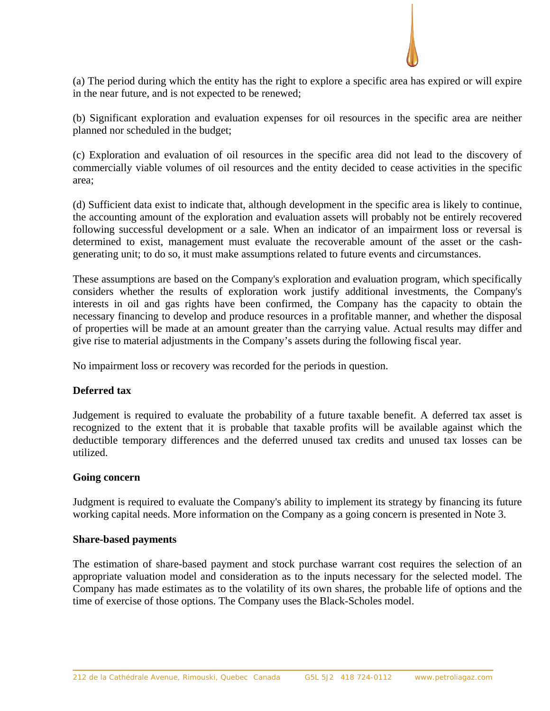

(a) The period during which the entity has the right to explore a specific area has expired or will expire in the near future, and is not expected to be renewed;

(b) Significant exploration and evaluation expenses for oil resources in the specific area are neither planned nor scheduled in the budget;

(c) Exploration and evaluation of oil resources in the specific area did not lead to the discovery of commercially viable volumes of oil resources and the entity decided to cease activities in the specific area;

(d) Sufficient data exist to indicate that, although development in the specific area is likely to continue, the accounting amount of the exploration and evaluation assets will probably not be entirely recovered following successful development or a sale. When an indicator of an impairment loss or reversal is determined to exist, management must evaluate the recoverable amount of the asset or the cashgenerating unit; to do so, it must make assumptions related to future events and circumstances.

These assumptions are based on the Company's exploration and evaluation program, which specifically considers whether the results of exploration work justify additional investments, the Company's interests in oil and gas rights have been confirmed, the Company has the capacity to obtain the necessary financing to develop and produce resources in a profitable manner, and whether the disposal of properties will be made at an amount greater than the carrying value. Actual results may differ and give rise to material adjustments in the Company's assets during the following fiscal year.

No impairment loss or recovery was recorded for the periods in question.

## **Deferred tax**

Judgement is required to evaluate the probability of a future taxable benefit. A deferred tax asset is recognized to the extent that it is probable that taxable profits will be available against which the deductible temporary differences and the deferred unused tax credits and unused tax losses can be utilized.

### **Going concern**

Judgment is required to evaluate the Company's ability to implement its strategy by financing its future working capital needs. More information on the Company as a going concern is presented in Note 3.

### **Share-based payments**

The estimation of share-based payment and stock purchase warrant cost requires the selection of an appropriate valuation model and consideration as to the inputs necessary for the selected model. The Company has made estimates as to the volatility of its own shares, the probable life of options and the time of exercise of those options. The Company uses the Black-Scholes model.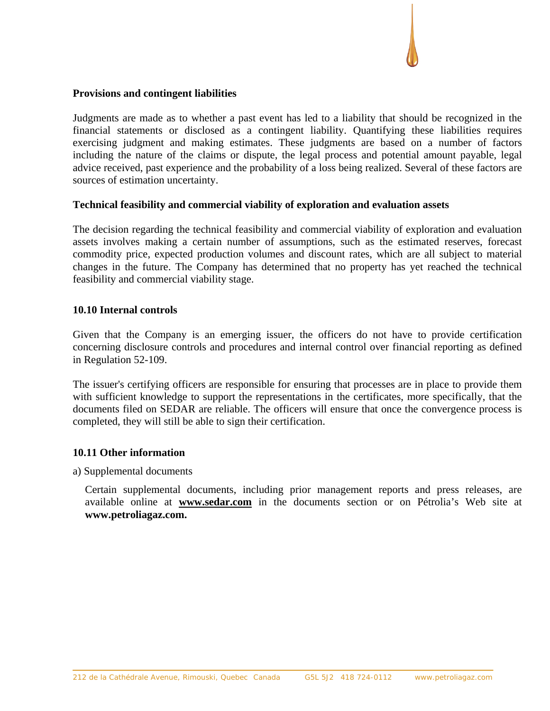## **Provisions and contingent liabilities**

Judgments are made as to whether a past event has led to a liability that should be recognized in the financial statements or disclosed as a contingent liability. Quantifying these liabilities requires exercising judgment and making estimates. These judgments are based on a number of factors including the nature of the claims or dispute, the legal process and potential amount payable, legal advice received, past experience and the probability of a loss being realized. Several of these factors are sources of estimation uncertainty.

## **Technical feasibility and commercial viability of exploration and evaluation assets**

The decision regarding the technical feasibility and commercial viability of exploration and evaluation assets involves making a certain number of assumptions, such as the estimated reserves, forecast commodity price, expected production volumes and discount rates, which are all subject to material changes in the future. The Company has determined that no property has yet reached the technical feasibility and commercial viability stage.

### **10.10 Internal controls**

Given that the Company is an emerging issuer, the officers do not have to provide certification concerning disclosure controls and procedures and internal control over financial reporting as defined in Regulation 52-109.

The issuer's certifying officers are responsible for ensuring that processes are in place to provide them with sufficient knowledge to support the representations in the certificates, more specifically, that the documents filed on SEDAR are reliable. The officers will ensure that once the convergence process is completed, they will still be able to sign their certification.

### **10.11 Other information**

a) Supplemental documents

Certain supplemental documents, including prior management reports and press releases, are available online at **www.sedar.com** in the documents section or on Pétrolia's Web site at **www.petroliagaz.com.**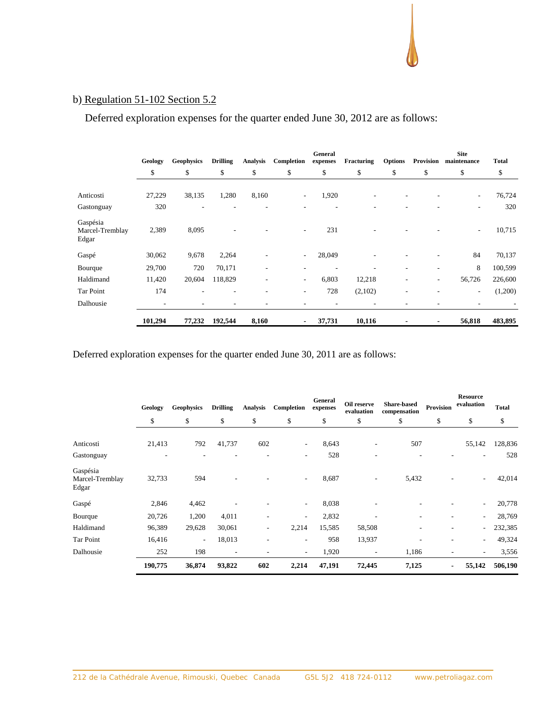# b) Regulation 51-102 Section 5.2

Deferred exploration expenses for the quarter ended June 30, 2012 are as follows:

|                                      | Geology | <b>Geophysics</b> | <b>Drilling</b>          | <b>Analysis</b> | Completion               | General<br>expenses | Fracturing | <b>Options</b> | Provision | <b>Site</b><br>maintenance | <b>Total</b> |
|--------------------------------------|---------|-------------------|--------------------------|-----------------|--------------------------|---------------------|------------|----------------|-----------|----------------------------|--------------|
|                                      | \$      | \$                | \$                       | \$              | \$                       | \$                  | \$         | \$             | \$        | \$                         | \$           |
| Anticosti                            | 27,229  | 38,135            | 1,280                    | 8,160           | $\overline{\phantom{a}}$ | 1,920               |            |                |           | ۰.                         | 76,724       |
| Gastonguay                           | 320     |                   |                          |                 |                          |                     |            |                |           | ۰                          | 320          |
| Gaspésia<br>Marcel-Tremblay<br>Edgar | 2,389   | 8,095             |                          |                 | $\overline{\phantom{a}}$ | 231                 |            |                |           | $\sim$                     | 10,715       |
| Gaspé                                | 30,062  | 9,678             | 2,264                    |                 | $\overline{\phantom{a}}$ | 28,049              |            |                |           | 84                         | 70,137       |
| Bourque                              | 29,700  | 720               | 70,171                   |                 | ۰                        |                     |            |                |           | 8                          | 100,599      |
| Haldimand                            | 11,420  | 20,604            | 118,829                  |                 | $\overline{\phantom{a}}$ | 6,803               | 12,218     | ٠              |           | 56,726                     | 226,600      |
| Tar Point                            | 174     |                   | $\overline{\phantom{a}}$ |                 | $\overline{\phantom{a}}$ | 728                 | (2,102)    |                |           | ۰.                         | (1,200)      |
| Dalhousie                            | ٠       | ٠                 |                          |                 | ۰                        |                     | ۰          |                |           |                            |              |
|                                      | 101,294 | 77,232            | 192,544                  | 8,160           | $\blacksquare$           | 37,731              | 10,116     |                |           | 56,818                     | 483,895      |

Deferred exploration expenses for the quarter ended June 30, 2011 are as follows:

|                                      | Geology | <b>Geophysics</b> | <b>Drilling</b> | <b>Analysis</b>          | Completion               | General<br>expenses | Oil reserve<br>evaluation | <b>Share-based</b><br>compensation | Provision | <b>Resource</b><br>evaluation | <b>Total</b> |
|--------------------------------------|---------|-------------------|-----------------|--------------------------|--------------------------|---------------------|---------------------------|------------------------------------|-----------|-------------------------------|--------------|
|                                      | \$      | \$                | \$              | \$                       | \$                       | \$                  | \$                        | \$                                 | \$        | \$                            | \$           |
| Anticosti                            | 21,413  | 792               | 41,737          | 602                      | $\sim$                   | 8,643               | ۰                         | 507                                |           | 55,142                        | 128,836      |
| Gastonguay                           |         |                   |                 |                          |                          | 528                 |                           |                                    |           |                               | 528          |
| Gaspésia<br>Marcel-Tremblay<br>Edgar | 32,733  | 594               |                 |                          | $\overline{\phantom{a}}$ | 8,687               | ۰                         | 5,432                              |           | $\overline{\phantom{a}}$      | 42,014       |
| Gaspé                                | 2,846   | 4,462             |                 |                          | $\overline{\phantom{a}}$ | 8,038               |                           |                                    |           |                               | 20,778       |
| Bourque                              | 20,726  | 1,200             | 4,011           |                          | ٠                        | 2,832               |                           |                                    |           | $\overline{\phantom{a}}$      | 28,769       |
| Haldimand                            | 96,389  | 29,628            | 30,061          | $\overline{\phantom{a}}$ | 2,214                    | 15,585              | 58,508                    |                                    |           | $\overline{\phantom{a}}$      | 232,385      |
| Tar Point                            | 16,416  | ۰.                | 18,013          | -                        | ٠                        | 958                 | 13,937                    | ٠                                  | ٠         | $\overline{\phantom{a}}$      | 49,324       |
| Dalhousie                            | 252     | 198               | ٠               |                          | $\overline{\phantom{a}}$ | 1,920               | ٠                         | 1,186                              |           | $\overline{\phantom{a}}$      | 3,556        |
|                                      | 190,775 | 36,874            | 93,822          | 602                      | 2,214                    | 47,191              | 72,445                    | 7,125                              |           | 55,142                        | 506,190      |